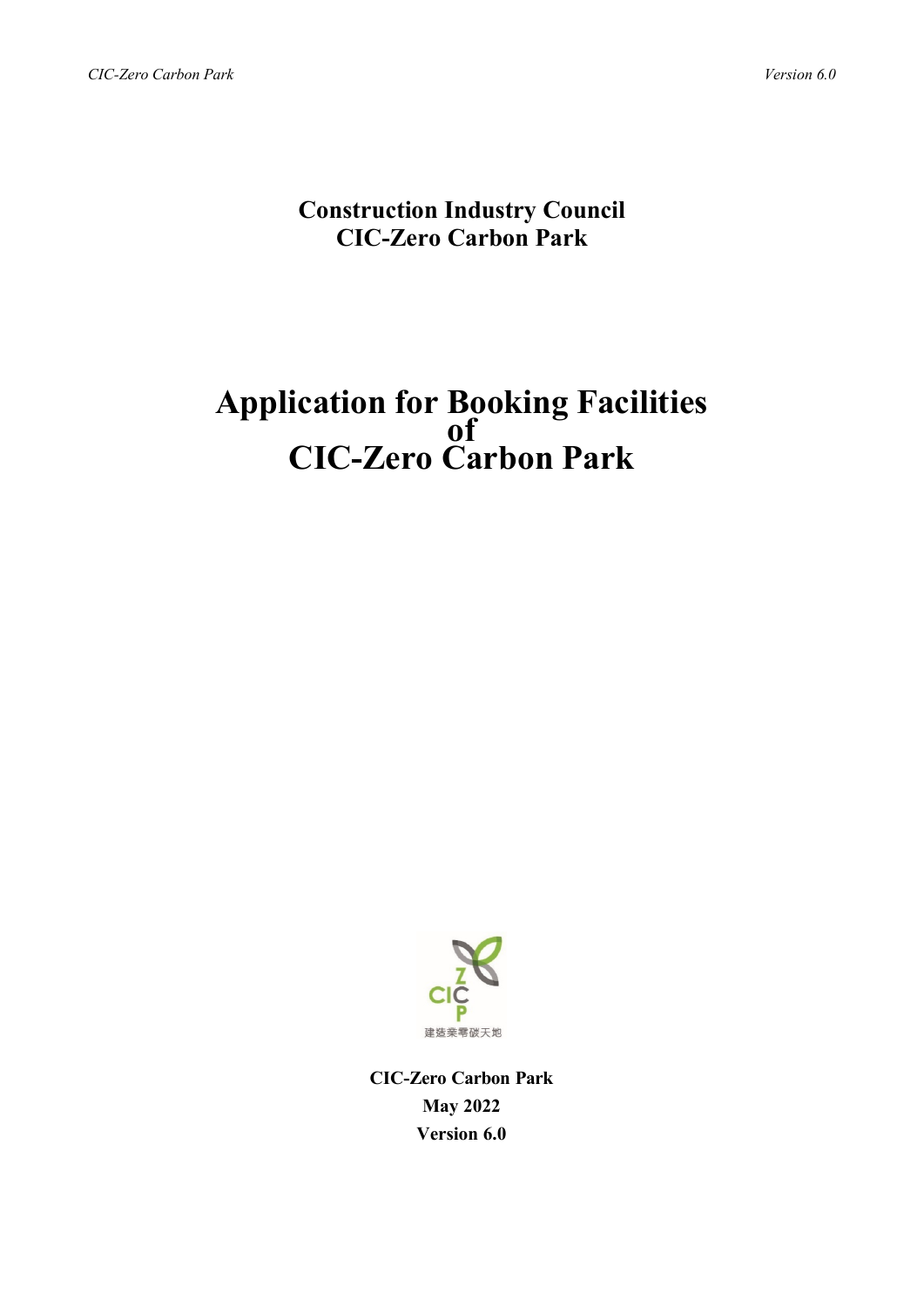# **Construction Industry Council CIC-Zero Carbon Park**

# **Application for Booking Facilities of CIC-Zero Carbon Park**



**CIC-Zero Carbon Park May 2022 Version 6.0**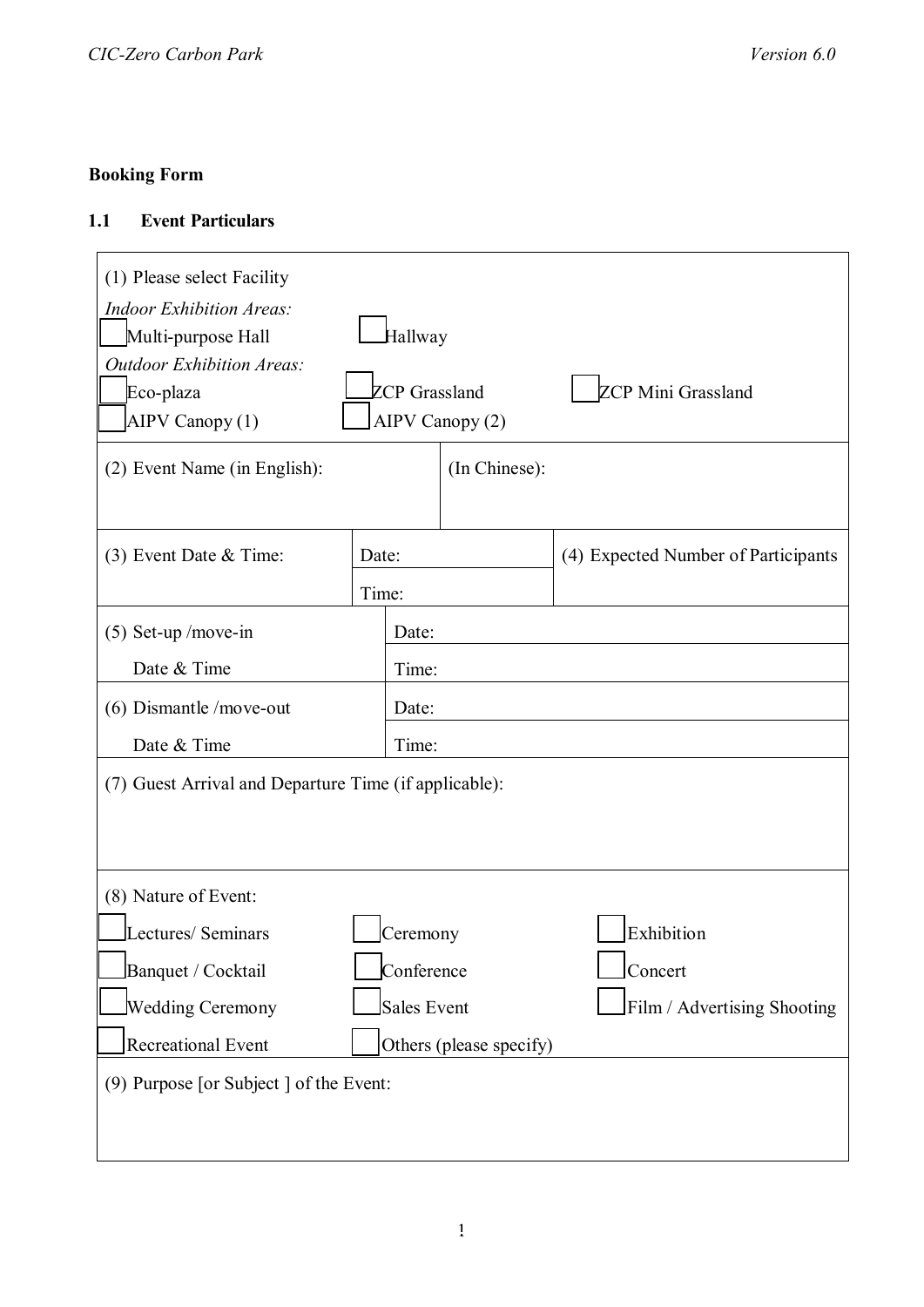## **Booking Form**

### **1.1 Event Particulars**

| (1) Please select Facility<br><b>Indoor Exhibition Areas:</b><br>Multi-purpose Hall<br><b>Outdoor Exhibition Areas:</b><br>Eco-plaza<br>AIPV Canopy (1)<br>(2) Event Name (in English): | Hallway<br><b>ZCP Mini Grassland</b><br><b>ZCP</b> Grassland<br>AIPV Canopy (2) |               |                                     |  |  |  |  |
|-----------------------------------------------------------------------------------------------------------------------------------------------------------------------------------------|---------------------------------------------------------------------------------|---------------|-------------------------------------|--|--|--|--|
|                                                                                                                                                                                         |                                                                                 | (In Chinese): |                                     |  |  |  |  |
| $(3)$ Event Date & Time:                                                                                                                                                                | Date:                                                                           |               | (4) Expected Number of Participants |  |  |  |  |
| $(5)$ Set-up /move-in                                                                                                                                                                   | Time:                                                                           | Date:         |                                     |  |  |  |  |
| Date & Time<br>Time:                                                                                                                                                                    |                                                                                 |               |                                     |  |  |  |  |
| $(6)$ Dismantle /move-out<br>Date:                                                                                                                                                      |                                                                                 |               |                                     |  |  |  |  |
| Date & Time                                                                                                                                                                             |                                                                                 | Time:         |                                     |  |  |  |  |
| (7) Guest Arrival and Departure Time (if applicable):                                                                                                                                   |                                                                                 |               |                                     |  |  |  |  |
| (8) Nature of Event:                                                                                                                                                                    |                                                                                 |               |                                     |  |  |  |  |
| Lectures/ Seminars                                                                                                                                                                      |                                                                                 | Ceremony      | Exhibition                          |  |  |  |  |
| Banquet / Cocktail                                                                                                                                                                      | Conference<br>Concert                                                           |               |                                     |  |  |  |  |
| Wedding Ceremony                                                                                                                                                                        | <b>Sales Event</b><br>Film / Advertising Shooting                               |               |                                     |  |  |  |  |
| Recreational Event                                                                                                                                                                      | Others (please specify)                                                         |               |                                     |  |  |  |  |
| (9) Purpose [or Subject ] of the Event:                                                                                                                                                 |                                                                                 |               |                                     |  |  |  |  |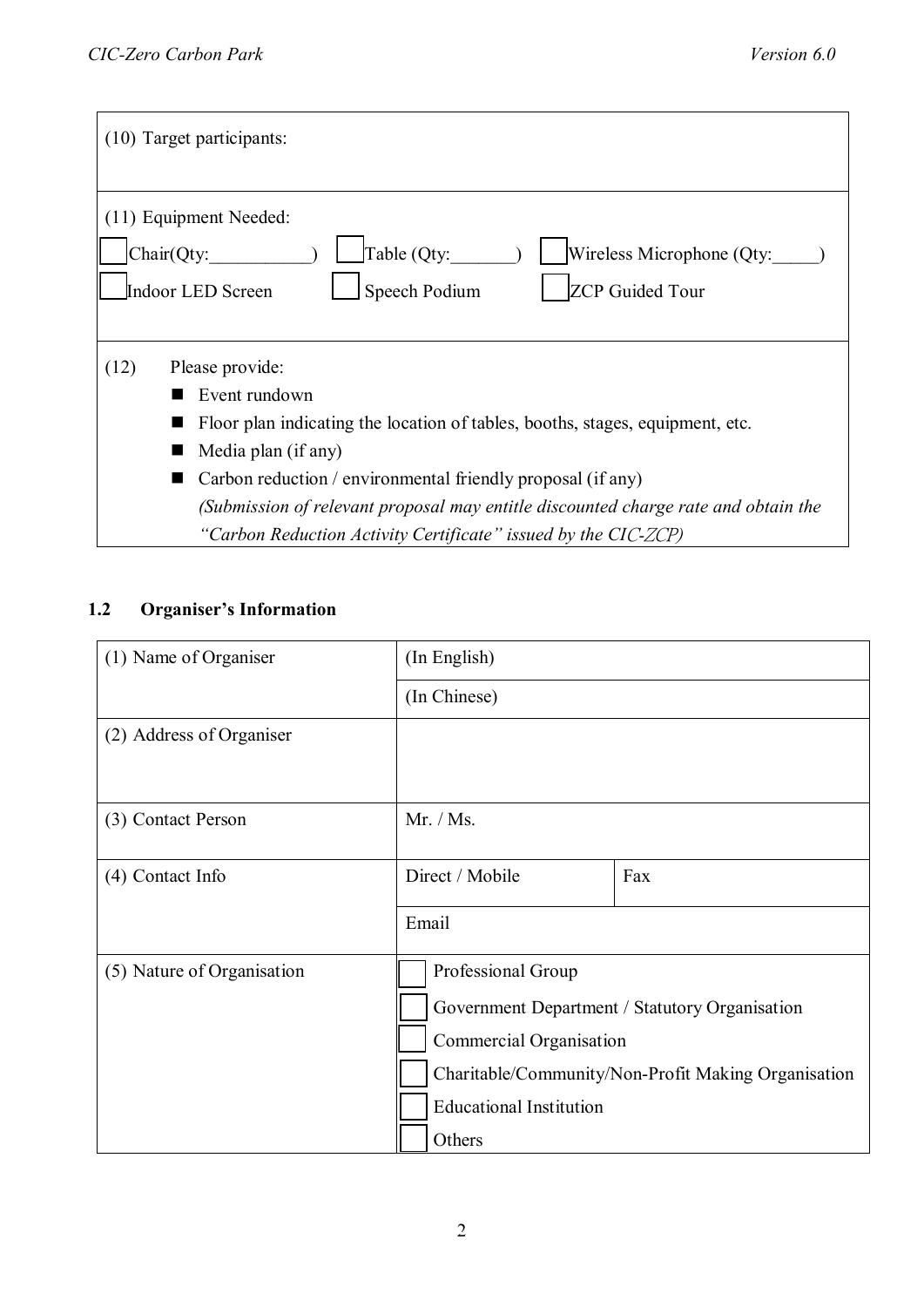| (10) Target participants:                                                                                                                                                                                                                                                                                                                                               |  |  |  |  |
|-------------------------------------------------------------------------------------------------------------------------------------------------------------------------------------------------------------------------------------------------------------------------------------------------------------------------------------------------------------------------|--|--|--|--|
| (11) Equipment Needed:<br>Chair(Qty:<br>Table (Qty:<br>Wireless Microphone (Qty:<br><b>Speech Podium</b><br><b>ZCP</b> Guided Tour<br>Indoor LED Screen                                                                                                                                                                                                                 |  |  |  |  |
| Please provide:<br>(12)<br>Event rundown<br>Floor plan indicating the location of tables, booths, stages, equipment, etc.<br>Media plan (if any)<br>Carbon reduction / environmental friendly proposal (if any)<br>(Submission of relevant proposal may entitle discounted charge rate and obtain the<br>"Carbon Reduction Activity Certificate" issued by the CIC-ZCP) |  |  |  |  |

## **1.2 Organiser's Information**

| (1) Name of Organiser      | (In English)                                        |     |  |  |  |
|----------------------------|-----------------------------------------------------|-----|--|--|--|
|                            | (In Chinese)                                        |     |  |  |  |
| (2) Address of Organiser   |                                                     |     |  |  |  |
| (3) Contact Person         | Mr. / Ms.                                           |     |  |  |  |
| (4) Contact Info           | Direct / Mobile                                     | Fax |  |  |  |
|                            | Email                                               |     |  |  |  |
| (5) Nature of Organisation | Professional Group                                  |     |  |  |  |
|                            | Government Department / Statutory Organisation      |     |  |  |  |
|                            | Commercial Organisation                             |     |  |  |  |
|                            | Charitable/Community/Non-Profit Making Organisation |     |  |  |  |
|                            | <b>Educational Institution</b>                      |     |  |  |  |
|                            | Others                                              |     |  |  |  |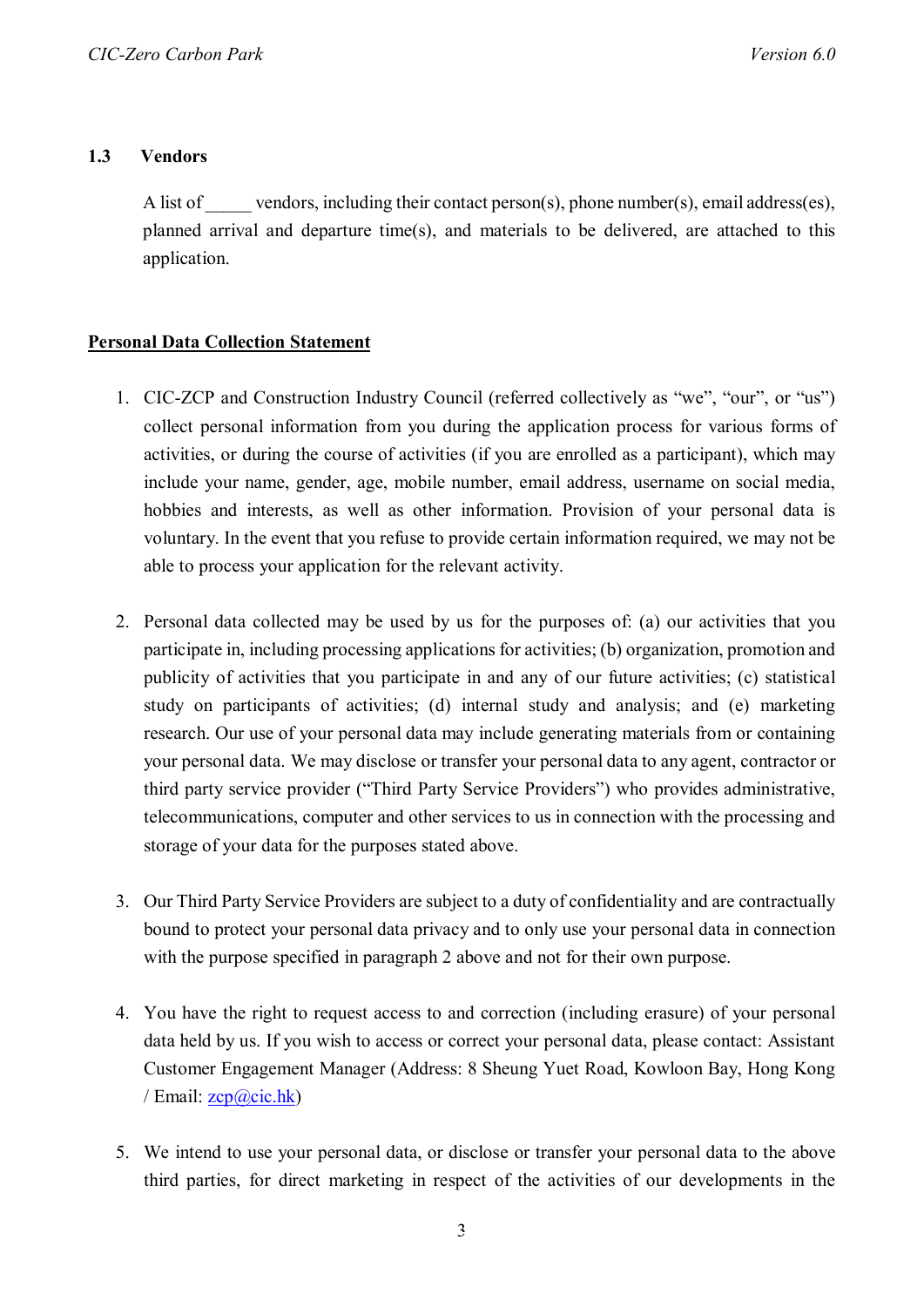#### **1.3 Vendors**

A list of vendors, including their contact person(s), phone number(s), email address(es), planned arrival and departure time(s), and materials to be delivered, are attached to this application.

#### **Personal Data Collection Statement**

- 1. CIC-ZCP and Construction Industry Council (referred collectively as "we", "our", or "us") collect personal information from you during the application process for various forms of activities, or during the course of activities (if you are enrolled as a participant), which may include your name, gender, age, mobile number, email address, username on social media, hobbies and interests, as well as other information. Provision of your personal data is voluntary. In the event that you refuse to provide certain information required, we may not be able to process your application for the relevant activity.
- 2. Personal data collected may be used by us for the purposes of: (a) our activities that you participate in, including processing applications for activities; (b) organization, promotion and publicity of activities that you participate in and any of our future activities; (c) statistical study on participants of activities; (d) internal study and analysis; and (e) marketing research. Our use of your personal data may include generating materials from or containing your personal data. We may disclose or transfer your personal data to any agent, contractor or third party service provider ("Third Party Service Providers") who provides administrative, telecommunications, computer and other services to us in connection with the processing and storage of your data for the purposes stated above.
- 3. Our Third Party Service Providers are subject to a duty of confidentiality and are contractually bound to protect your personal data privacy and to only use your personal data in connection with the purpose specified in paragraph 2 above and not for their own purpose.
- 4. You have the right to request access to and correction (including erasure) of your personal data held by us. If you wish to access or correct your personal data, please contact: Assistant Customer Engagement Manager (Address: 8 Sheung Yuet Road, Kowloon Bay, Hong Kong / Email:  $\frac{zcp(a)cic.hk}{2c}$
- 5. We intend to use your personal data, or disclose or transfer your personal data to the above third parties, for direct marketing in respect of the activities of our developments in the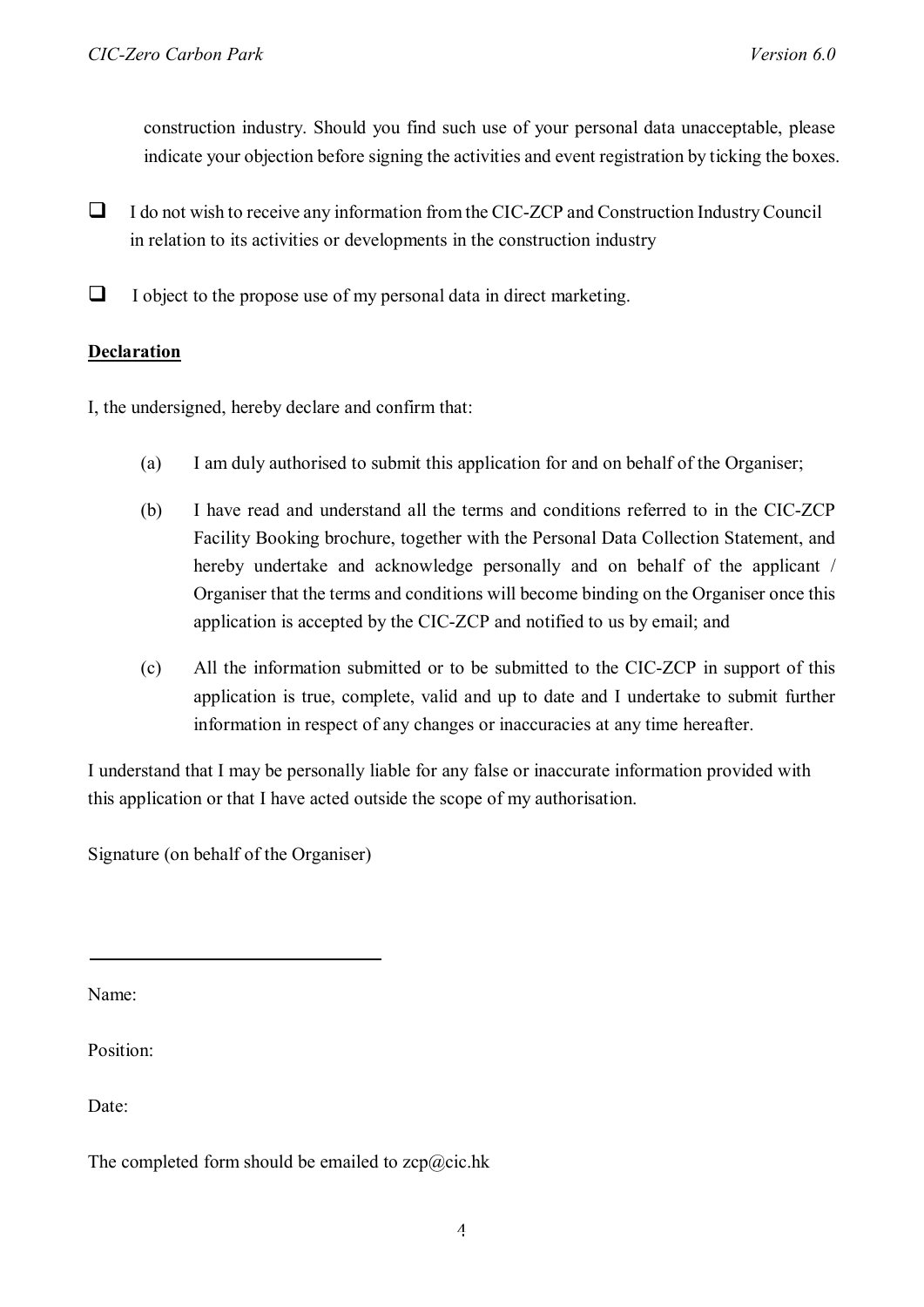construction industry. Should you find such use of your personal data unacceptable, please indicate your objection before signing the activities and event registration by ticking the boxes.

- $\Box$  I do not wish to receive any information from the CIC-ZCP and Construction Industry Council in relation to its activities or developments in the construction industry
- $\Box$  I object to the propose use of my personal data in direct marketing.

#### **Declaration**

I, the undersigned, hereby declare and confirm that:

- (a) I am duly authorised to submit this application for and on behalf of the Organiser;
- (b) I have read and understand all the terms and conditions referred to in the CIC-ZCP Facility Booking brochure, together with the Personal Data Collection Statement, and hereby undertake and acknowledge personally and on behalf of the applicant / Organiser that the terms and conditions will become binding on the Organiser once this application is accepted by the CIC-ZCP and notified to us by email; and
- (c) All the information submitted or to be submitted to the CIC-ZCP in support of this application is true, complete, valid and up to date and I undertake to submit further information in respect of any changes or inaccuracies at any time hereafter.

I understand that I may be personally liable for any false or inaccurate information provided with this application or that I have acted outside the scope of my authorisation.

Signature (on behalf of the Organiser)

Name:

Position:

Date:

The completed form should be emailed to  $zcp@cic.hk$